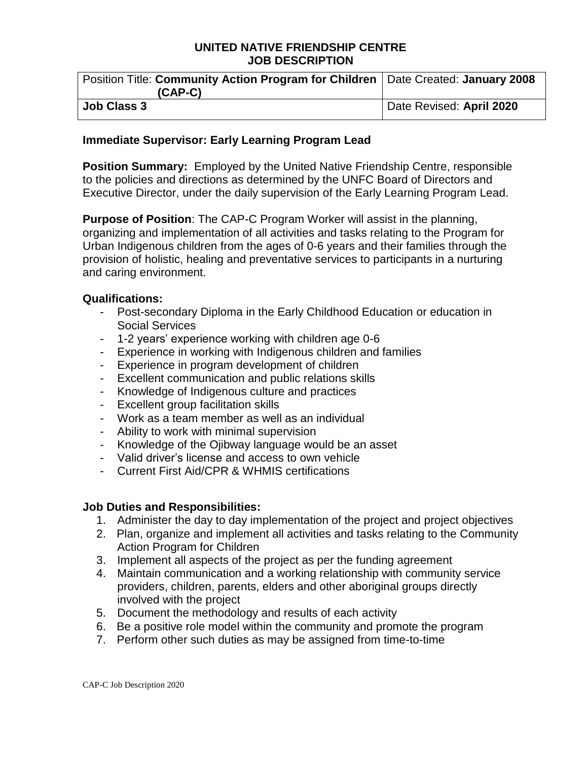#### **UNITED NATIVE FRIENDSHIP CENTRE JOB DESCRIPTION**

| Position Title: Community Action Program for Children   Date Created: January 2008 |                          |
|------------------------------------------------------------------------------------|--------------------------|
| $(CAP-C)$                                                                          |                          |
| <b>Job Class 3</b>                                                                 | Date Revised: April 2020 |

#### **Immediate Supervisor: Early Learning Program Lead**

**Position Summary:** Employed by the United Native Friendship Centre, responsible to the policies and directions as determined by the UNFC Board of Directors and Executive Director, under the daily supervision of the Early Learning Program Lead.

**Purpose of Position**: The CAP-C Program Worker will assist in the planning, organizing and implementation of all activities and tasks relating to the Program for Urban Indigenous children from the ages of 0-6 years and their families through the provision of holistic, healing and preventative services to participants in a nurturing and caring environment.

### **Qualifications:**

- Post-secondary Diploma in the Early Childhood Education or education in Social Services
- 1-2 years' experience working with children age 0-6
- Experience in working with Indigenous children and families
- Experience in program development of children
- Excellent communication and public relations skills
- Knowledge of Indigenous culture and practices
- Excellent group facilitation skills
- Work as a team member as well as an individual
- Ability to work with minimal supervision
- Knowledge of the Ojibway language would be an asset
- Valid driver's license and access to own vehicle
- Current First Aid/CPR & WHMIS certifications

### **Job Duties and Responsibilities:**

- 1. Administer the day to day implementation of the project and project objectives
- 2. Plan, organize and implement all activities and tasks relating to the Community Action Program for Children
- 3. Implement all aspects of the project as per the funding agreement
- 4. Maintain communication and a working relationship with community service providers, children, parents, elders and other aboriginal groups directly involved with the project
- 5. Document the methodology and results of each activity
- 6. Be a positive role model within the community and promote the program
- 7. Perform other such duties as may be assigned from time-to-time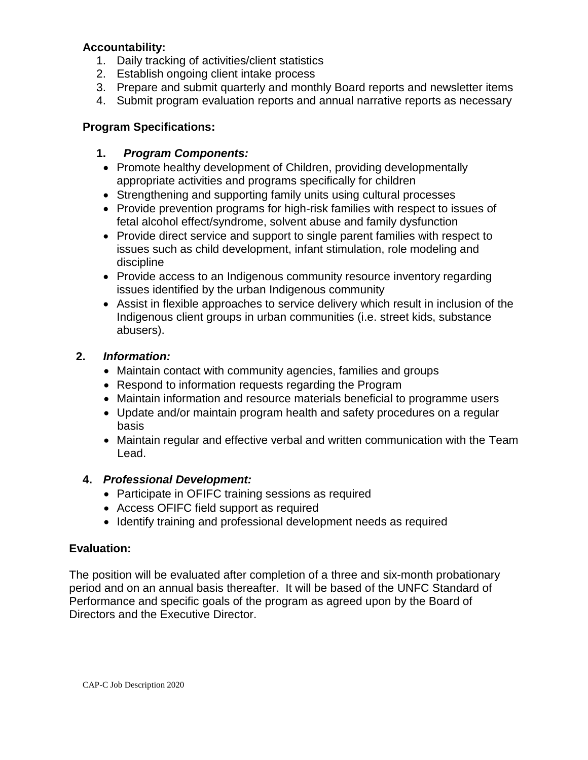### **Accountability:**

- 1. Daily tracking of activities/client statistics
- 2. Establish ongoing client intake process
- 3. Prepare and submit quarterly and monthly Board reports and newsletter items
- 4. Submit program evaluation reports and annual narrative reports as necessary

# **Program Specifications:**

## **1.** *Program Components:*

- Promote healthy development of Children, providing developmentally appropriate activities and programs specifically for children
- Strengthening and supporting family units using cultural processes
- Provide prevention programs for high-risk families with respect to issues of fetal alcohol effect/syndrome, solvent abuse and family dysfunction
- Provide direct service and support to single parent families with respect to issues such as child development, infant stimulation, role modeling and discipline
- Provide access to an Indigenous community resource inventory regarding issues identified by the urban Indigenous community
- Assist in flexible approaches to service delivery which result in inclusion of the Indigenous client groups in urban communities (i.e. street kids, substance abusers).

## **2.** *Information:*

- Maintain contact with community agencies, families and groups
- Respond to information requests regarding the Program
- Maintain information and resource materials beneficial to programme users
- Update and/or maintain program health and safety procedures on a regular basis
- Maintain regular and effective verbal and written communication with the Team Lead.

# **4.** *Professional Development:*

- Participate in OFIFC training sessions as required
- Access OFIFC field support as required
- Identify training and professional development needs as required

### **Evaluation:**

The position will be evaluated after completion of a three and six-month probationary period and on an annual basis thereafter. It will be based of the UNFC Standard of Performance and specific goals of the program as agreed upon by the Board of Directors and the Executive Director.